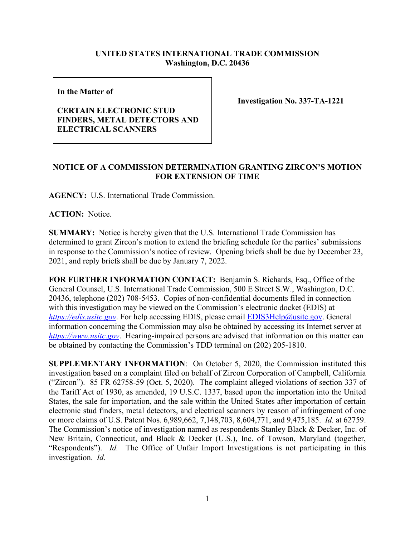## **UNITED STATES INTERNATIONAL TRADE COMMISSION Washington, D.C. 20436**

**In the Matter of** 

## **CERTAIN ELECTRONIC STUD FINDERS, METAL DETECTORS AND ELECTRICAL SCANNERS**

**Investigation No. 337-TA-1221**

## **NOTICE OF A COMMISSION DETERMINATION GRANTING ZIRCON'S MOTION FOR EXTENSION OF TIME**

**AGENCY:** U.S. International Trade Commission.

**ACTION:** Notice.

**SUMMARY:** Notice is hereby given that the U.S. International Trade Commission has determined to grant Zircon's motion to extend the briefing schedule for the parties' submissions in response to the Commission's notice of review. Opening briefs shall be due by December 23, 2021, and reply briefs shall be due by January 7, 2022.

**FOR FURTHER INFORMATION CONTACT:** Benjamin S. Richards, Esq., Office of the General Counsel, U.S. International Trade Commission, 500 E Street S.W., Washington, D.C. 20436, telephone (202) 708-5453. Copies of non-confidential documents filed in connection with this investigation may be viewed on the Commission's electronic docket (EDIS) at *[https://edis.usitc.gov](https://edis.usitc.gov/).* For help accessing EDIS, please email [EDIS3Help@usitc.gov.](mailto:EDIS3Help@usitc.gov) General information concerning the Commission may also be obtained by accessing its Internet server at *[https://www.usitc.gov](https://www.usitc.gov/)*. Hearing-impaired persons are advised that information on this matter can be obtained by contacting the Commission's TDD terminal on (202) 205-1810.

**SUPPLEMENTARY INFORMATION**: On October 5, 2020, the Commission instituted this investigation based on a complaint filed on behalf of Zircon Corporation of Campbell, California ("Zircon"). 85 FR 62758-59 (Oct. 5, 2020). The complaint alleged violations of section 337 of the Tariff Act of 1930, as amended, 19 U.S.C. 1337, based upon the importation into the United States, the sale for importation, and the sale within the United States after importation of certain electronic stud finders, metal detectors, and electrical scanners by reason of infringement of one or more claims of U.S. Patent Nos. 6,989,662, 7,148,703, 8,604,771, and 9,475,185. *Id.* at 62759. The Commission's notice of investigation named as respondents Stanley Black & Decker, Inc. of New Britain, Connecticut, and Black & Decker (U.S.), Inc. of Towson, Maryland (together, "Respondents"). *Id.* The Office of Unfair Import Investigations is not participating in this investigation. *Id.*